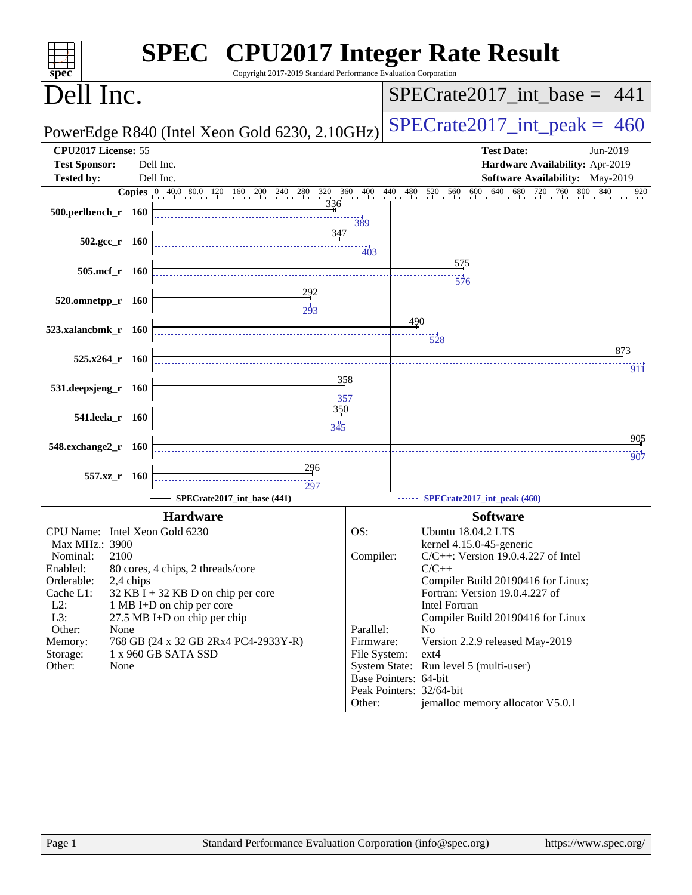| Copyright 2017-2019 Standard Performance Evaluation Corporation<br>spec <sup>®</sup>     | <b>SPEC<sup>®</sup> CPU2017 Integer Rate Result</b>                                         |
|------------------------------------------------------------------------------------------|---------------------------------------------------------------------------------------------|
| Dell Inc.                                                                                | $SPECrate2017\_int\_base = 441$                                                             |
| PowerEdge R840 (Intel Xeon Gold 6230, 2.10GHz)                                           | $SPECrate2017\_int\_peak = 460$                                                             |
| CPU2017 License: 55                                                                      | <b>Test Date:</b><br>Jun-2019                                                               |
| <b>Test Sponsor:</b><br>Dell Inc.                                                        | Hardware Availability: Apr-2019                                                             |
| <b>Tested by:</b><br>Dell Inc.                                                           | Software Availability: May-2019<br>640<br>680<br>720<br>760 800<br>840<br>560<br>600<br>920 |
| <b>Copies</b> 0 40.0 80.0 120 160 200 240 280 320 360 400<br>336                         | $\frac{100}{1}$ 440<br>$480$ $520$                                                          |
| 500.perlbench_r 160                                                                      | 389                                                                                         |
| <u>347</u>                                                                               |                                                                                             |
| $502.\text{gcc r}$ 160                                                                   | 403                                                                                         |
| 505.mcf_r 160                                                                            | 575                                                                                         |
|                                                                                          | $\frac{1}{576}$                                                                             |
| 520.omnetpp_r 160                                                                        |                                                                                             |
| $\frac{1}{203}$                                                                          | 490                                                                                         |
| 523.xalancbmk_r 160                                                                      | 528                                                                                         |
|                                                                                          | 873                                                                                         |
| $525.x264$ r 160                                                                         | 911                                                                                         |
| 531.deepsjeng_r 160                                                                      | 358                                                                                         |
| $\frac{1}{357}$                                                                          |                                                                                             |
| 350<br>541.leela_r 160                                                                   |                                                                                             |
|                                                                                          | 905                                                                                         |
| 548.exchange2_r 160                                                                      | 907                                                                                         |
| <u>29</u> 6                                                                              |                                                                                             |
| 557.xz_r 160<br>$\frac{11}{297}$                                                         |                                                                                             |
| SPECrate2017_int_base (441)                                                              | SPECrate2017_int_peak (460)                                                                 |
| <b>Hardware</b>                                                                          | <b>Software</b>                                                                             |
| CPU Name: Intel Xeon Gold 6230                                                           | OS:<br>Ubuntu 18.04.2 LTS                                                                   |
| Max MHz.: 3900<br>2100<br>Nominal:                                                       | kernel 4.15.0-45-generic<br>Compiler:<br>$C/C++$ : Version 19.0.4.227 of Intel              |
| Enabled:<br>80 cores, 4 chips, 2 threads/core                                            | $C/C++$                                                                                     |
| Orderable:<br>2,4 chips                                                                  | Compiler Build 20190416 for Linux;                                                          |
| $32$ KB I + 32 KB D on chip per core<br>Cache L1:<br>$L2$ :<br>1 MB I+D on chip per core | Fortran: Version 19.0.4.227 of<br>Intel Fortran                                             |
| L3:<br>27.5 MB I+D on chip per chip                                                      | Compiler Build 20190416 for Linux                                                           |
| Other:<br>None                                                                           | Parallel:<br>N <sub>0</sub>                                                                 |
| Memory:<br>768 GB (24 x 32 GB 2Rx4 PC4-2933Y-R)<br>1 x 960 GB SATA SSD<br>Storage:       | Firmware:<br>Version 2.2.9 released May-2019<br>File System:<br>$ext{4}$                    |
| Other:<br>None                                                                           | System State: Run level 5 (multi-user)                                                      |
|                                                                                          | Base Pointers: 64-bit                                                                       |
|                                                                                          | Peak Pointers: 32/64-bit<br>jemalloc memory allocator V5.0.1<br>Other:                      |
|                                                                                          |                                                                                             |
|                                                                                          |                                                                                             |
|                                                                                          |                                                                                             |
|                                                                                          |                                                                                             |
|                                                                                          |                                                                                             |
|                                                                                          |                                                                                             |
|                                                                                          |                                                                                             |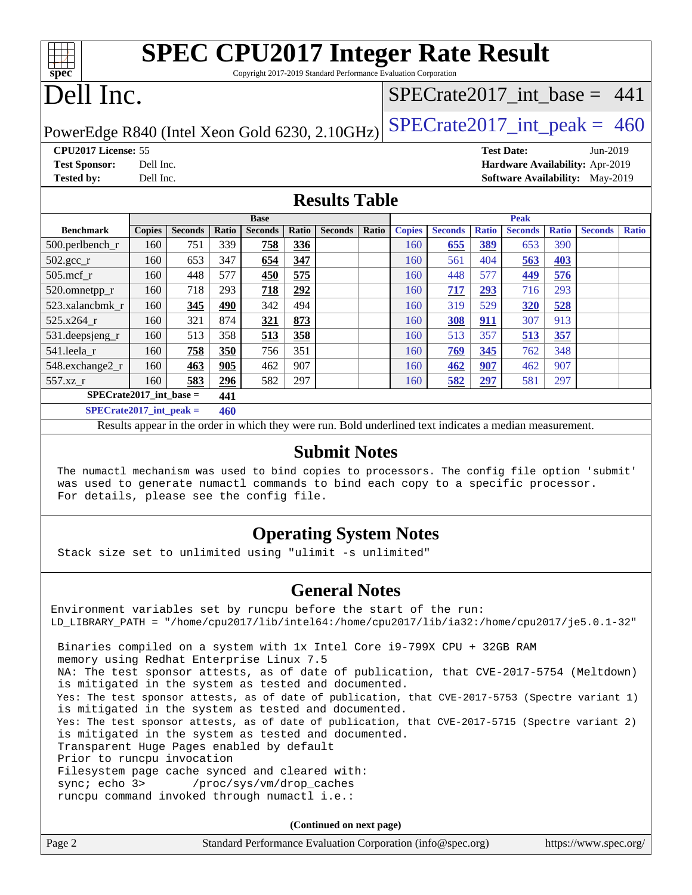| <b>SPEC CPU2017 Integer Rate Result</b>                                         |                                 |  |  |  |  |  |  |
|---------------------------------------------------------------------------------|---------------------------------|--|--|--|--|--|--|
| $spec*$<br>Copyright 2017-2019 Standard Performance Evaluation Corporation      |                                 |  |  |  |  |  |  |
| Dell Inc.                                                                       | SPECrate2017 int base = $441$   |  |  |  |  |  |  |
| PowerEdge R840 (Intel Xeon Gold 6230, 2.10GHz) $ SPECrate2017\_int\_peak = 460$ |                                 |  |  |  |  |  |  |
| <b>CPU2017 License: 55</b>                                                      | <b>Test Date:</b><br>Jun-2019   |  |  |  |  |  |  |
| <b>Test Sponsor:</b><br>Dell Inc.                                               | Hardware Availability: Apr-2019 |  |  |  |  |  |  |

**[Tested by:](http://www.spec.org/auto/cpu2017/Docs/result-fields.html#Testedby)** Dell Inc. **[Software Availability:](http://www.spec.org/auto/cpu2017/Docs/result-fields.html#SoftwareAvailability)** May-2019

## **[Results Table](http://www.spec.org/auto/cpu2017/Docs/result-fields.html#ResultsTable)**

|                                  | <b>Base</b>   |                |       |                |       | <b>Peak</b>    |       |               |                |              |                |              |                |              |
|----------------------------------|---------------|----------------|-------|----------------|-------|----------------|-------|---------------|----------------|--------------|----------------|--------------|----------------|--------------|
| <b>Benchmark</b>                 | <b>Copies</b> | <b>Seconds</b> | Ratio | <b>Seconds</b> | Ratio | <b>Seconds</b> | Ratio | <b>Copies</b> | <b>Seconds</b> | <b>Ratio</b> | <b>Seconds</b> | <b>Ratio</b> | <b>Seconds</b> | <b>Ratio</b> |
| 500.perlbench_r                  | 160           | 751            | 339   | 758            | 336   |                |       | 160           | 655            | 389          | 653            | 390          |                |              |
| $502.\text{gcc\_r}$              | 160           | 653            | 347   | 654            | 347   |                |       | 160           | 561            | 404          | 563            | 403          |                |              |
| $505$ .mcf r                     | 160           | 448            | 577   | 450            | 575   |                |       | 160           | 448            | 577          | 449            | 576          |                |              |
| 520.omnetpp_r                    | 160           | 718            | 293   | 718            | 292   |                |       | 160           | 717            | 293          | 716            | 293          |                |              |
| 523.xalancbmk r                  | 160           | 345            | 490   | 342            | 494   |                |       | 160           | 319            | 529          | <b>320</b>     | <u>528</u>   |                |              |
| $525.x264$ r                     | 160           | 321            | 874   | 321            | 873   |                |       | 160           | 308            | 911          | 307            | 913          |                |              |
| 531.deepsjeng_r                  | 160           | 513            | 358   | 513            | 358   |                |       | 160           | 513            | 357          | 513            | 357          |                |              |
| 541.leela r                      | 160           | 758            | 350   | 756            | 351   |                |       | 160           | 769            | 345          | 762            | 348          |                |              |
| 548.exchange2_r                  | 160           | 463            | 905   | 462            | 907   |                |       | 160           | 462            | 907          | 462            | 907          |                |              |
| 557.xz r                         | 160           | 583            | 296   | 582            | 297   |                |       | 160           | 582            | 297          | 581            | 297          |                |              |
| $SPECrate2017$ int base =<br>441 |               |                |       |                |       |                |       |               |                |              |                |              |                |              |
| $SPECrate2017\_int\_peak =$      |               |                | 460   |                |       |                |       |               |                |              |                |              |                |              |

Results appear in the [order in which they were run](http://www.spec.org/auto/cpu2017/Docs/result-fields.html#RunOrder). Bold underlined text [indicates a median measurement](http://www.spec.org/auto/cpu2017/Docs/result-fields.html#Median).

### **[Submit Notes](http://www.spec.org/auto/cpu2017/Docs/result-fields.html#SubmitNotes)**

 The numactl mechanism was used to bind copies to processors. The config file option 'submit' was used to generate numactl commands to bind each copy to a specific processor. For details, please see the config file.

## **[Operating System Notes](http://www.spec.org/auto/cpu2017/Docs/result-fields.html#OperatingSystemNotes)**

Stack size set to unlimited using "ulimit -s unlimited"

### **[General Notes](http://www.spec.org/auto/cpu2017/Docs/result-fields.html#GeneralNotes)**

Environment variables set by runcpu before the start of the run: LD\_LIBRARY\_PATH = "/home/cpu2017/lib/intel64:/home/cpu2017/lib/ia32:/home/cpu2017/je5.0.1-32" Binaries compiled on a system with 1x Intel Core i9-799X CPU + 32GB RAM memory using Redhat Enterprise Linux 7.5 NA: The test sponsor attests, as of date of publication, that CVE-2017-5754 (Meltdown) is mitigated in the system as tested and documented. Yes: The test sponsor attests, as of date of publication, that CVE-2017-5753 (Spectre variant 1) is mitigated in the system as tested and documented. Yes: The test sponsor attests, as of date of publication, that CVE-2017-5715 (Spectre variant 2) is mitigated in the system as tested and documented. Transparent Huge Pages enabled by default Prior to runcpu invocation Filesystem page cache synced and cleared with: sync; echo 3> /proc/sys/vm/drop\_caches runcpu command invoked through numactl i.e.:

**(Continued on next page)**

| Page 2 | Standard Performance Evaluation Corporation (info@spec.org) | https://www.spec.org/ |
|--------|-------------------------------------------------------------|-----------------------|
|--------|-------------------------------------------------------------|-----------------------|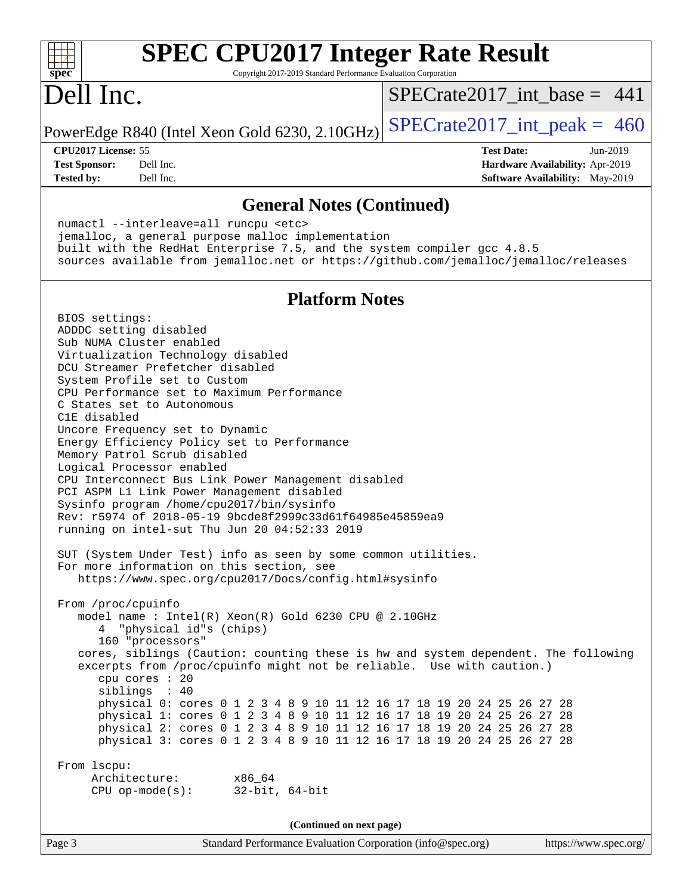| <b>SPEC CPU2017 Integer Rate Result</b><br>Copyright 2017-2019 Standard Performance Evaluation Corporation<br>spec                                                                                                                                                                                                                                                                                                                                                                                                                                                                                                                                                                                                                                                                                                                                                                                                                                                                                                                                                                                                                                                                                                                                                                                                                                                                                                                                                                                                                                                                               |                                                                                                            |  |  |  |  |
|--------------------------------------------------------------------------------------------------------------------------------------------------------------------------------------------------------------------------------------------------------------------------------------------------------------------------------------------------------------------------------------------------------------------------------------------------------------------------------------------------------------------------------------------------------------------------------------------------------------------------------------------------------------------------------------------------------------------------------------------------------------------------------------------------------------------------------------------------------------------------------------------------------------------------------------------------------------------------------------------------------------------------------------------------------------------------------------------------------------------------------------------------------------------------------------------------------------------------------------------------------------------------------------------------------------------------------------------------------------------------------------------------------------------------------------------------------------------------------------------------------------------------------------------------------------------------------------------------|------------------------------------------------------------------------------------------------------------|--|--|--|--|
| Dell Inc.                                                                                                                                                                                                                                                                                                                                                                                                                                                                                                                                                                                                                                                                                                                                                                                                                                                                                                                                                                                                                                                                                                                                                                                                                                                                                                                                                                                                                                                                                                                                                                                        | $SPECrate2017$ int base = 441                                                                              |  |  |  |  |
| PowerEdge R840 (Intel Xeon Gold 6230, 2.10GHz)                                                                                                                                                                                                                                                                                                                                                                                                                                                                                                                                                                                                                                                                                                                                                                                                                                                                                                                                                                                                                                                                                                                                                                                                                                                                                                                                                                                                                                                                                                                                                   | $SPECTate2017\_int\_peak = 460$                                                                            |  |  |  |  |
| CPU2017 License: 55<br>Dell Inc.<br><b>Test Sponsor:</b><br>Dell Inc.<br><b>Tested by:</b>                                                                                                                                                                                                                                                                                                                                                                                                                                                                                                                                                                                                                                                                                                                                                                                                                                                                                                                                                                                                                                                                                                                                                                                                                                                                                                                                                                                                                                                                                                       | <b>Test Date:</b><br>Jun-2019<br>Hardware Availability: Apr-2019<br><b>Software Availability:</b> May-2019 |  |  |  |  |
| <b>General Notes (Continued)</b>                                                                                                                                                                                                                                                                                                                                                                                                                                                                                                                                                                                                                                                                                                                                                                                                                                                                                                                                                                                                                                                                                                                                                                                                                                                                                                                                                                                                                                                                                                                                                                 |                                                                                                            |  |  |  |  |
| numactl --interleave=all runcpu <etc><br/>jemalloc, a general purpose malloc implementation<br/>built with the RedHat Enterprise 7.5, and the system compiler gcc 4.8.5<br/>sources available from jemalloc.net or https://github.com/jemalloc/jemalloc/releases</etc>                                                                                                                                                                                                                                                                                                                                                                                                                                                                                                                                                                                                                                                                                                                                                                                                                                                                                                                                                                                                                                                                                                                                                                                                                                                                                                                           |                                                                                                            |  |  |  |  |
| <b>Platform Notes</b>                                                                                                                                                                                                                                                                                                                                                                                                                                                                                                                                                                                                                                                                                                                                                                                                                                                                                                                                                                                                                                                                                                                                                                                                                                                                                                                                                                                                                                                                                                                                                                            |                                                                                                            |  |  |  |  |
| BIOS settings:<br>ADDDC setting disabled<br>Sub NUMA Cluster enabled<br>Virtualization Technology disabled<br>DCU Streamer Prefetcher disabled<br>System Profile set to Custom<br>CPU Performance set to Maximum Performance<br>C States set to Autonomous<br>C1E disabled<br>Uncore Frequency set to Dynamic<br>Energy Efficiency Policy set to Performance<br>Memory Patrol Scrub disabled<br>Logical Processor enabled<br>CPU Interconnect Bus Link Power Management disabled<br>PCI ASPM L1 Link Power Management disabled<br>Sysinfo program /home/cpu2017/bin/sysinfo<br>Rev: r5974 of 2018-05-19 9bcde8f2999c33d61f64985e45859ea9<br>running on intel-sut Thu Jun 20 04:52:33 2019<br>SUT (System Under Test) info as seen by some common utilities.<br>For more information on this section, see<br>https://www.spec.org/cpu2017/Docs/config.html#sysinfo<br>From /proc/cpuinfo<br>model name: Intel(R) Xeon(R) Gold 6230 CPU @ 2.10GHz<br>"physical id"s (chips)<br>4<br>160 "processors"<br>cores, siblings (Caution: counting these is hw and system dependent. The following<br>excerpts from /proc/cpuinfo might not be reliable. Use with caution.)<br>cpu cores : 20<br>siblings : 40<br>physical 0: cores 0 1 2 3 4 8 9 10 11 12 16 17 18 19 20 24 25 26 27 28<br>physical 1: cores 0 1 2 3 4 8 9 10 11 12 16 17 18 19 20 24 25 26 27 28<br>physical 2: cores 0 1 2 3 4 8 9 10 11 12 16 17 18 19 20 24 25 26 27 28<br>physical 3: cores 0 1 2 3 4 8 9 10 11 12 16 17 18 19 20 24 25 26 27 28<br>From 1scpu:<br>Architecture: x86_64<br>$32$ -bit, $64$ -bit<br>$CPU op-mode(s):$ |                                                                                                            |  |  |  |  |
| (Continued on next page)                                                                                                                                                                                                                                                                                                                                                                                                                                                                                                                                                                                                                                                                                                                                                                                                                                                                                                                                                                                                                                                                                                                                                                                                                                                                                                                                                                                                                                                                                                                                                                         |                                                                                                            |  |  |  |  |
| Page 3<br>Standard Performance Evaluation Corporation (info@spec.org)                                                                                                                                                                                                                                                                                                                                                                                                                                                                                                                                                                                                                                                                                                                                                                                                                                                                                                                                                                                                                                                                                                                                                                                                                                                                                                                                                                                                                                                                                                                            | https://www.spec.org/                                                                                      |  |  |  |  |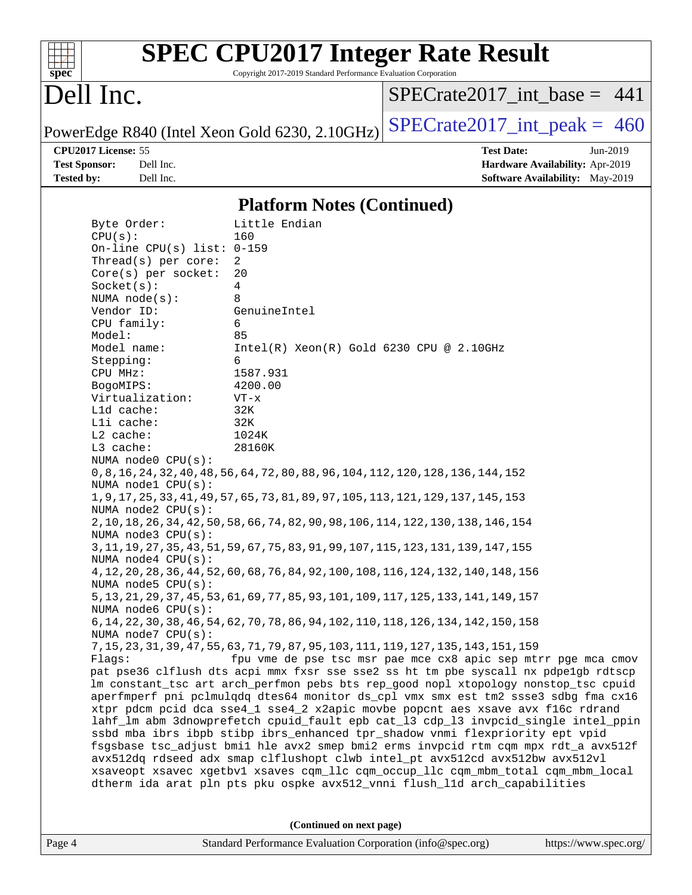| s<br>e<br>n<br>C |  |  |  |  |  |  |
|------------------|--|--|--|--|--|--|

# **[SPEC CPU2017 Integer Rate Result](http://www.spec.org/auto/cpu2017/Docs/result-fields.html#SPECCPU2017IntegerRateResult)**

Copyright 2017-2019 Standard Performance Evaluation Corporation

# Dell Inc.

 $SPECrate2017\_int\_base = 441$ 

PowerEdge R840 (Intel Xeon Gold 6230, 2.10GHz)  $SPECrate2017\_int\_peak = 460$ 

**[CPU2017 License:](http://www.spec.org/auto/cpu2017/Docs/result-fields.html#CPU2017License)** 55 **[Test Date:](http://www.spec.org/auto/cpu2017/Docs/result-fields.html#TestDate)** Jun-2019 **[Test Sponsor:](http://www.spec.org/auto/cpu2017/Docs/result-fields.html#TestSponsor)** Dell Inc. **[Hardware Availability:](http://www.spec.org/auto/cpu2017/Docs/result-fields.html#HardwareAvailability)** Apr-2019 **[Tested by:](http://www.spec.org/auto/cpu2017/Docs/result-fields.html#Testedby)** Dell Inc. Dell Inc. **[Software Availability:](http://www.spec.org/auto/cpu2017/Docs/result-fields.html#SoftwareAvailability)** May-2019

### **[Platform Notes \(Continued\)](http://www.spec.org/auto/cpu2017/Docs/result-fields.html#PlatformNotes)**

| Byte Order:                  | Little Endian                                                                         |
|------------------------------|---------------------------------------------------------------------------------------|
| CPU(s):                      | 160                                                                                   |
| On-line CPU(s) list: $0-159$ |                                                                                       |
| Thread(s) per core:          | 2                                                                                     |
| Core(s) per socket:          | 20                                                                                    |
| Socket(s):                   | 4                                                                                     |
| NUMA $node(s)$ :             | 8<br>GenuineIntel                                                                     |
| Vendor ID:                   | 6                                                                                     |
| CPU family:<br>Model:        | 85                                                                                    |
| Model name:                  | $Intel(R)$ Xeon $(R)$ Gold 6230 CPU @ 2.10GHz                                         |
| Stepping:                    | 6                                                                                     |
| CPU MHz:                     | 1587.931                                                                              |
| BogoMIPS:                    | 4200.00                                                                               |
| Virtualization:              | $VT - x$                                                                              |
| L1d cache:                   | 32K                                                                                   |
| Lli cache:                   | 32K                                                                                   |
| L2 cache:                    | 1024K                                                                                 |
| L3 cache:                    | 28160K                                                                                |
| NUMA node0 CPU(s):           |                                                                                       |
|                              | 0, 8, 16, 24, 32, 40, 48, 56, 64, 72, 80, 88, 96, 104, 112, 120, 128, 136, 144, 152   |
| NUMA nodel CPU(s):           |                                                                                       |
|                              | 1, 9, 17, 25, 33, 41, 49, 57, 65, 73, 81, 89, 97, 105, 113, 121, 129, 137, 145, 153   |
| NUMA node2 CPU(s):           |                                                                                       |
|                              | 2, 10, 18, 26, 34, 42, 50, 58, 66, 74, 82, 90, 98, 106, 114, 122, 130, 138, 146, 154  |
| NUMA $node3$ $CPU(s)$ :      |                                                                                       |
|                              | 3, 11, 19, 27, 35, 43, 51, 59, 67, 75, 83, 91, 99, 107, 115, 123, 131, 139, 147, 155  |
| NUMA $node4$ $CPU(s)$ :      |                                                                                       |
|                              | 4, 12, 20, 28, 36, 44, 52, 60, 68, 76, 84, 92, 100, 108, 116, 124, 132, 140, 148, 156 |
| NUMA node5 $CPU(s):$         |                                                                                       |
|                              | 5, 13, 21, 29, 37, 45, 53, 61, 69, 77, 85, 93, 101, 109, 117, 125, 133, 141, 149, 157 |
| NUMA node6 CPU(s):           |                                                                                       |
| NUMA node7 CPU(s):           | 6, 14, 22, 30, 38, 46, 54, 62, 70, 78, 86, 94, 102, 110, 118, 126, 134, 142, 150, 158 |
|                              | 7, 15, 23, 31, 39, 47, 55, 63, 71, 79, 87, 95, 103, 111, 119, 127, 135, 143, 151, 159 |
| Flags:                       | fpu vme de pse tsc msr pae mce cx8 apic sep mtrr pge mca cmov                         |
|                              | pat pse36 clflush dts acpi mmx fxsr sse sse2 ss ht tm pbe syscall nx pdpelgb rdtscp   |
|                              | lm constant_tsc art arch_perfmon pebs bts rep_good nopl xtopology nonstop_tsc cpuid   |
|                              | aperfmperf pni pclmulqdq dtes64 monitor ds_cpl vmx smx est tm2 ssse3 sdbg fma cx16    |
|                              | xtpr pdcm pcid dca sse4_1 sse4_2 x2apic movbe popcnt aes xsave avx f16c rdrand        |
|                              | lahf_lm abm 3dnowprefetch cpuid_fault epb cat_13 cdp_13 invpcid_single intel_ppin     |
|                              | ssbd mba ibrs ibpb stibp ibrs_enhanced tpr_shadow vnmi flexpriority ept vpid          |
|                              | fsgsbase tsc_adjust bmil hle avx2 smep bmi2 erms invpcid rtm cqm mpx rdt_a avx512f    |
|                              | avx512dq rdseed adx smap clflushopt clwb intel_pt avx512cd avx512bw avx512vl          |
|                              | xsaveopt xsavec xgetbvl xsaves cqm_llc cqm_occup_llc cqm_mbm_total cqm_mbm_local      |
|                              | dtherm ida arat pln pts pku ospke avx512_vnni flush_lld arch_capabilities             |
|                              |                                                                                       |
|                              |                                                                                       |

**(Continued on next page)**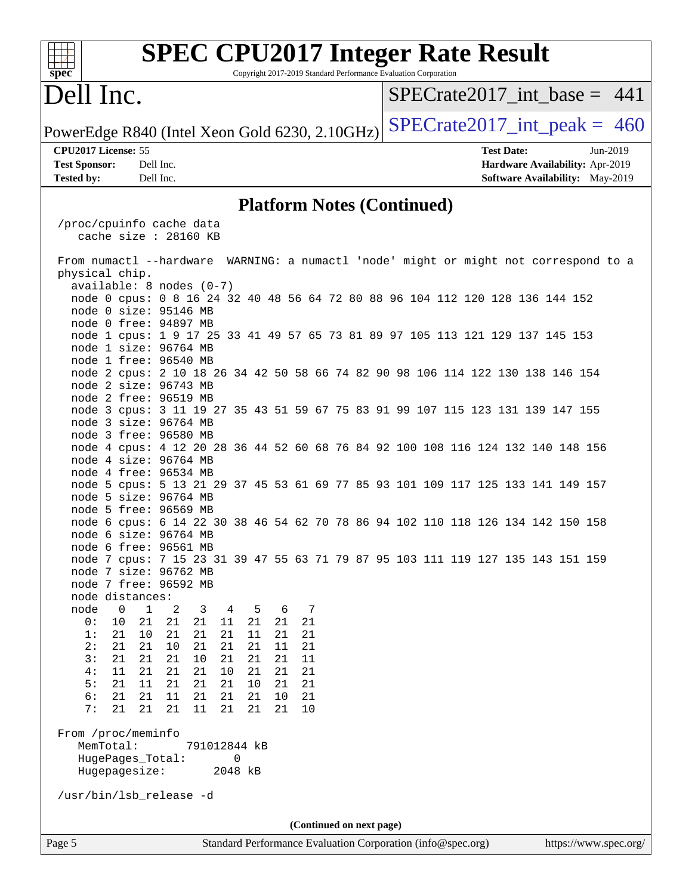| <b>SPEC CPU2017 Integer Rate Result</b><br>spec <sup>®</sup><br>Copyright 2017-2019 Standard Performance Evaluation Corporation |                                 |  |  |  |  |  |
|---------------------------------------------------------------------------------------------------------------------------------|---------------------------------|--|--|--|--|--|
| Dell Inc.                                                                                                                       | $SPECrate2017$ int base = 441   |  |  |  |  |  |
| PowerEdge R840 (Intel Xeon Gold 6230, 2.10GHz)                                                                                  | $SPECrate2017\_int\_peak = 460$ |  |  |  |  |  |
| CPU2017 License: 55                                                                                                             | <b>Test Date:</b><br>Jun-2019   |  |  |  |  |  |
| <b>Test Sponsor:</b><br>Dell Inc.                                                                                               | Hardware Availability: Apr-2019 |  |  |  |  |  |
| <b>Tested by:</b><br>Dell Inc.                                                                                                  | Software Availability: May-2019 |  |  |  |  |  |
| <b>Platform Notes (Continued)</b>                                                                                               |                                 |  |  |  |  |  |
|                                                                                                                                 |                                 |  |  |  |  |  |
| /proc/cpuinfo cache data<br>cache size $: 28160$ KB                                                                             |                                 |  |  |  |  |  |
| From numactl --hardware WARNING: a numactl 'node' might or might not correspond to a<br>physical chip.                          |                                 |  |  |  |  |  |
| available: 8 nodes (0-7)                                                                                                        |                                 |  |  |  |  |  |
| node 0 cpus: 0 8 16 24 32 40 48 56 64 72 80 88 96 104 112 120 128 136 144 152                                                   |                                 |  |  |  |  |  |
| node 0 size: 95146 MB                                                                                                           |                                 |  |  |  |  |  |
| node 0 free: 94897 MB<br>node 1 cpus: 1 9 17 25 33 41 49 57 65 73 81 89 97 105 113 121 129 137 145 153                          |                                 |  |  |  |  |  |
| node 1 size: 96764 MB                                                                                                           |                                 |  |  |  |  |  |
| node 1 free: 96540 MB                                                                                                           |                                 |  |  |  |  |  |
| node 2 cpus: 2 10 18 26 34 42 50 58 66 74 82 90 98 106 114 122 130 138 146 154                                                  |                                 |  |  |  |  |  |
| node 2 size: 96743 MB                                                                                                           |                                 |  |  |  |  |  |
| node 2 free: 96519 MB                                                                                                           |                                 |  |  |  |  |  |
| node 3 cpus: 3 11 19 27 35 43 51 59 67 75 83 91 99 107 115 123 131 139 147 155                                                  |                                 |  |  |  |  |  |
| node 3 size: 96764 MB                                                                                                           |                                 |  |  |  |  |  |
| node 3 free: 96580 MB                                                                                                           |                                 |  |  |  |  |  |
| node 4 cpus: 4 12 20 28 36 44 52 60 68 76 84 92 100 108 116 124 132 140 148 156                                                 |                                 |  |  |  |  |  |
| node 4 size: 96764 MB                                                                                                           |                                 |  |  |  |  |  |
| node 4 free: 96534 MB                                                                                                           |                                 |  |  |  |  |  |
| node 5 cpus: 5 13 21 29 37 45 53 61 69 77 85 93 101 109 117 125 133 141 149 157                                                 |                                 |  |  |  |  |  |
| node 5 size: 96764 MB                                                                                                           |                                 |  |  |  |  |  |
| node 5 free: 96569 MB                                                                                                           |                                 |  |  |  |  |  |
| node 6 cpus: 6 14 22 30 38 46 54 62 70 78 86 94 102 110 118 126 134 142 150 158                                                 |                                 |  |  |  |  |  |
| node 6 size: 96764 MB                                                                                                           |                                 |  |  |  |  |  |
| node 6 free: 96561 MB                                                                                                           |                                 |  |  |  |  |  |
| node 7 cpus: 7 15 23 31 39 47 55 63 71 79 87 95 103 111 119 127 135 143 151 159                                                 |                                 |  |  |  |  |  |
| node 7 size: 96762 MB                                                                                                           |                                 |  |  |  |  |  |
| node 7 free: 96592 MB<br>node distances:                                                                                        |                                 |  |  |  |  |  |
| node<br>$\mathbf 0$<br>$\mathbf 1$<br>2<br>3<br>5<br>6<br>7<br>4                                                                |                                 |  |  |  |  |  |
| 0:<br>21<br>21<br>$11\,$<br>21<br>21<br>21<br>10<br>21                                                                          |                                 |  |  |  |  |  |
| 1:<br>10<br>21<br>21<br>21<br>21<br>11<br>21<br>21                                                                              |                                 |  |  |  |  |  |
| 21<br>2:<br>21<br>21<br>10<br>21<br>21<br>11<br>21                                                                              |                                 |  |  |  |  |  |
| 3:<br>21<br>21<br>21<br>21<br>21<br>21<br>11<br>10                                                                              |                                 |  |  |  |  |  |
| 21<br>10<br>21<br>4 :<br>11<br>21<br>21<br>21<br>21                                                                             |                                 |  |  |  |  |  |
| 5:<br>11<br>21<br>21<br>21<br>21<br>21<br>10<br>21                                                                              |                                 |  |  |  |  |  |
| 6:<br>21<br>21<br>21<br>21<br>21<br>11<br>21<br>10                                                                              |                                 |  |  |  |  |  |
| 21<br>21<br>7:<br>21<br>21<br>11<br>21<br>21<br>10                                                                              |                                 |  |  |  |  |  |
|                                                                                                                                 |                                 |  |  |  |  |  |
| From /proc/meminfo                                                                                                              |                                 |  |  |  |  |  |
| MemTotal:<br>791012844 kB                                                                                                       |                                 |  |  |  |  |  |
| HugePages_Total:<br>0                                                                                                           |                                 |  |  |  |  |  |
| 2048 kB<br>Hugepagesize:                                                                                                        |                                 |  |  |  |  |  |
| /usr/bin/lsb_release -d                                                                                                         |                                 |  |  |  |  |  |
| (Continued on next page)                                                                                                        |                                 |  |  |  |  |  |
| Page 5<br>Standard Performance Evaluation Corporation (info@spec.org)                                                           | https://www.spec.org/           |  |  |  |  |  |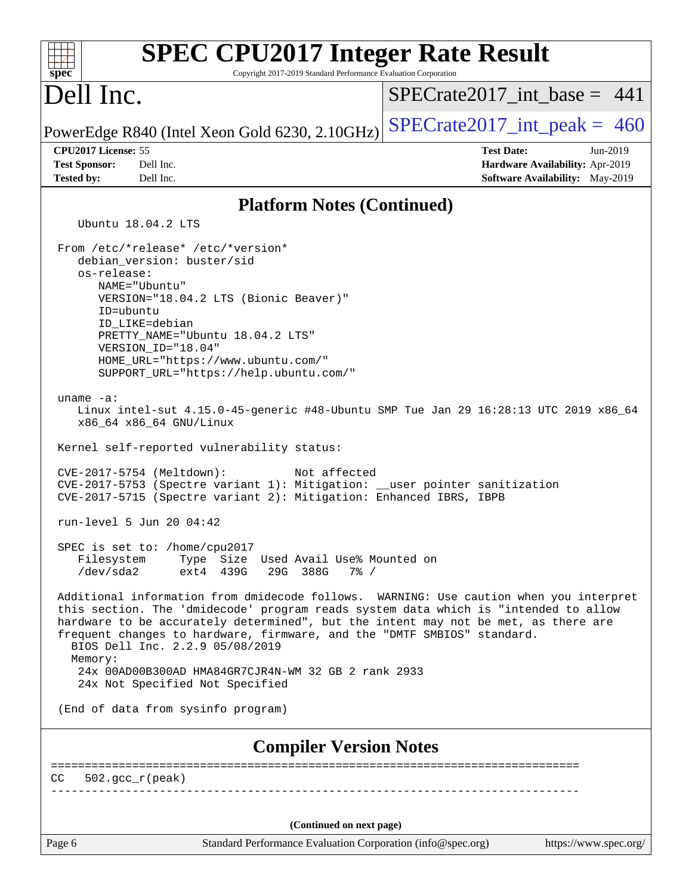| <b>SPEC CPU2017 Integer Rate Result</b>                                                                                                                                                                                                                                                                                                                                                                                                                                                                                                                                                                                                                                                                                          |                                                                    |  |  |  |  |
|----------------------------------------------------------------------------------------------------------------------------------------------------------------------------------------------------------------------------------------------------------------------------------------------------------------------------------------------------------------------------------------------------------------------------------------------------------------------------------------------------------------------------------------------------------------------------------------------------------------------------------------------------------------------------------------------------------------------------------|--------------------------------------------------------------------|--|--|--|--|
| spec<br>Copyright 2017-2019 Standard Performance Evaluation Corporation                                                                                                                                                                                                                                                                                                                                                                                                                                                                                                                                                                                                                                                          |                                                                    |  |  |  |  |
| Dell Inc.                                                                                                                                                                                                                                                                                                                                                                                                                                                                                                                                                                                                                                                                                                                        | $SPECrate2017\_int\_base = 441$                                    |  |  |  |  |
| PowerEdge R840 (Intel Xeon Gold 6230, 2.10GHz)                                                                                                                                                                                                                                                                                                                                                                                                                                                                                                                                                                                                                                                                                   | $SPECTate2017\_int\_peak = 460$                                    |  |  |  |  |
| CPU2017 License: 55                                                                                                                                                                                                                                                                                                                                                                                                                                                                                                                                                                                                                                                                                                              | <b>Test Date:</b><br>$Jun-2019$                                    |  |  |  |  |
| <b>Test Sponsor:</b><br>Dell Inc.<br><b>Tested by:</b><br>Dell Inc.                                                                                                                                                                                                                                                                                                                                                                                                                                                                                                                                                                                                                                                              | Hardware Availability: Apr-2019<br>Software Availability: May-2019 |  |  |  |  |
| <b>Platform Notes (Continued)</b>                                                                                                                                                                                                                                                                                                                                                                                                                                                                                                                                                                                                                                                                                                |                                                                    |  |  |  |  |
| Ubuntu 18.04.2 LTS                                                                                                                                                                                                                                                                                                                                                                                                                                                                                                                                                                                                                                                                                                               |                                                                    |  |  |  |  |
| From /etc/*release* /etc/*version*<br>debian_version: buster/sid<br>os-release:<br>NAME="Ubuntu"<br>VERSION="18.04.2 LTS (Bionic Beaver)"<br>ID=ubuntu<br>ID LIKE=debian<br>PRETTY NAME="Ubuntu 18.04.2 LTS"<br>VERSION ID="18.04"<br>HOME_URL="https://www.ubuntu.com/"<br>SUPPORT_URL="https://help.ubuntu.com/"<br>uname $-a$ :<br>Linux intel-sut 4.15.0-45-generic #48-Ubuntu SMP Tue Jan 29 16:28:13 UTC 2019 x86_64<br>x86_64 x86_64 GNU/Linux<br>Kernel self-reported vulnerability status:<br>CVE-2017-5754 (Meltdown):<br>Not affected<br>CVE-2017-5753 (Spectre variant 1): Mitigation: __user pointer sanitization<br>CVE-2017-5715 (Spectre variant 2): Mitigation: Enhanced IBRS, IBPB<br>run-level 5 Jun 20 04:42 |                                                                    |  |  |  |  |
| SPEC is set to: /home/cpu2017<br>Type Size Used Avail Use% Mounted on<br>Filesystem<br>/dev/sda2<br>ext4 439G<br>29G 388G<br>$7\frac{6}{9}$ /                                                                                                                                                                                                                                                                                                                                                                                                                                                                                                                                                                                    |                                                                    |  |  |  |  |
| Additional information from dmidecode follows. WARNING: Use caution when you interpret<br>this section. The 'dmidecode' program reads system data which is "intended to allow<br>hardware to be accurately determined", but the intent may not be met, as there are<br>frequent changes to hardware, firmware, and the "DMTF SMBIOS" standard.<br>BIOS Dell Inc. 2.2.9 05/08/2019<br>Memory:<br>24x 00AD00B300AD HMA84GR7CJR4N-WM 32 GB 2 rank 2933<br>24x Not Specified Not Specified                                                                                                                                                                                                                                           |                                                                    |  |  |  |  |
| (End of data from sysinfo program)                                                                                                                                                                                                                                                                                                                                                                                                                                                                                                                                                                                                                                                                                               |                                                                    |  |  |  |  |
| <b>Compiler Version Notes</b>                                                                                                                                                                                                                                                                                                                                                                                                                                                                                                                                                                                                                                                                                                    |                                                                    |  |  |  |  |
| $502.\text{qcc }r(\text{peak})$<br>CC.                                                                                                                                                                                                                                                                                                                                                                                                                                                                                                                                                                                                                                                                                           |                                                                    |  |  |  |  |
|                                                                                                                                                                                                                                                                                                                                                                                                                                                                                                                                                                                                                                                                                                                                  |                                                                    |  |  |  |  |
| (Continued on next page)                                                                                                                                                                                                                                                                                                                                                                                                                                                                                                                                                                                                                                                                                                         |                                                                    |  |  |  |  |
| Page 6<br>Standard Performance Evaluation Corporation (info@spec.org)                                                                                                                                                                                                                                                                                                                                                                                                                                                                                                                                                                                                                                                            | https://www.spec.org/                                              |  |  |  |  |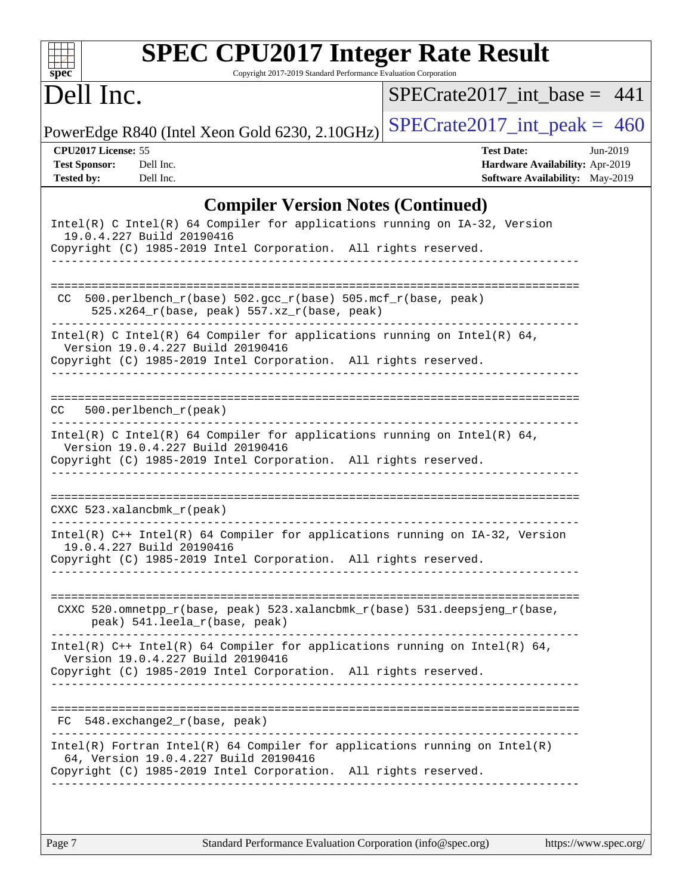| $spec^*$                                                                                                                                                                     |                        | <b>SPEC CPU2017 Integer Rate Result</b>                                                                                                             |                                   | Copyright 2017-2019 Standard Performance Evaluation Corporation |                   |                                                                    |          |
|------------------------------------------------------------------------------------------------------------------------------------------------------------------------------|------------------------|-----------------------------------------------------------------------------------------------------------------------------------------------------|-----------------------------------|-----------------------------------------------------------------|-------------------|--------------------------------------------------------------------|----------|
| Dell Inc.                                                                                                                                                                    |                        |                                                                                                                                                     |                                   | $SPECrate2017$ int base = 441                                   |                   |                                                                    |          |
| PowerEdge R840 (Intel Xeon Gold 6230, 2.10GHz)                                                                                                                               |                        |                                                                                                                                                     |                                   | $SPECrate2017\_int\_peak = 460$                                 |                   |                                                                    |          |
| CPU2017 License: 55<br><b>Test Sponsor:</b><br><b>Tested by:</b>                                                                                                             | Dell Inc.<br>Dell Inc. |                                                                                                                                                     |                                   |                                                                 | <b>Test Date:</b> | Hardware Availability: Apr-2019<br>Software Availability: May-2019 | Jun-2019 |
| Intel(R) C Intel(R) 64 Compiler for applications running on IA-32, Version<br>19.0.4.227 Build 20190416<br>Copyright (C) 1985-2019 Intel Corporation. All rights reserved.   |                        |                                                                                                                                                     |                                   | <b>Compiler Version Notes (Continued)</b>                       |                   |                                                                    |          |
| CC                                                                                                                                                                           |                        | 500.perlbench_r(base) 502.gcc_r(base) 505.mcf_r(base, peak)<br>525.x264_r(base, peak) 557.xz_r(base, peak)<br>------------------------------------- |                                   | ------------------------------                                  |                   |                                                                    |          |
| Intel(R) C Intel(R) 64 Compiler for applications running on Intel(R) 64,<br>Copyright (C) 1985-2019 Intel Corporation. All rights reserved.                                  |                        | Version 19.0.4.227 Build 20190416                                                                                                                   | _________________________________ |                                                                 |                   |                                                                    |          |
| CC.                                                                                                                                                                          | 500.perlbench_r(peak)  |                                                                                                                                                     |                                   | _____________________________________                           |                   |                                                                    |          |
| Intel(R) C Intel(R) 64 Compiler for applications running on Intel(R) 64,<br>Copyright (C) 1985-2019 Intel Corporation. All rights reserved.                                  |                        | Version 19.0.4.227 Build 20190416                                                                                                                   |                                   |                                                                 |                   |                                                                    |          |
| CXXC 523.xalancbmk_r(peak)                                                                                                                                                   |                        |                                                                                                                                                     |                                   |                                                                 |                   |                                                                    |          |
| Intel(R) C++ Intel(R) 64 Compiler for applications running on IA-32, Version<br>19.0.4.227 Build 20190416<br>Copyright (C) 1985-2019 Intel Corporation. All rights reserved. |                        |                                                                                                                                                     |                                   |                                                                 |                   |                                                                    |          |
|                                                                                                                                                                              |                        | CXXC 520.omnetpp_r(base, peak) 523.xalancbmk_r(base) 531.deepsjeng_r(base,<br>peak) 541.leela_r(base, peak)                                         |                                   |                                                                 |                   |                                                                    |          |
| Intel(R) C++ Intel(R) 64 Compiler for applications running on Intel(R) 64,<br>Copyright (C) 1985-2019 Intel Corporation. All rights reserved.                                |                        | Version 19.0.4.227 Build 20190416                                                                                                                   |                                   |                                                                 |                   |                                                                    |          |
| $FC 548. exchange2_r(base, peak)$                                                                                                                                            |                        |                                                                                                                                                     |                                   |                                                                 |                   |                                                                    |          |
| $Intel(R)$ Fortran Intel(R) 64 Compiler for applications running on Intel(R)<br>Copyright (C) 1985-2019 Intel Corporation. All rights reserved.                              |                        | 64, Version 19.0.4.227 Build 20190416                                                                                                               |                                   |                                                                 |                   |                                                                    |          |
|                                                                                                                                                                              |                        |                                                                                                                                                     |                                   |                                                                 |                   |                                                                    |          |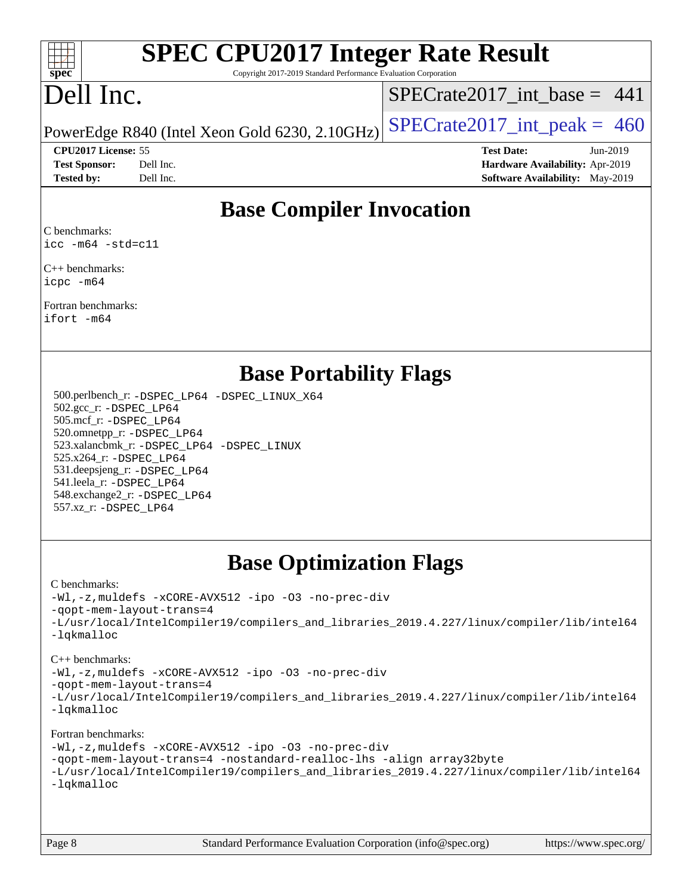

# **[SPEC CPU2017 Integer Rate Result](http://www.spec.org/auto/cpu2017/Docs/result-fields.html#SPECCPU2017IntegerRateResult)**

Copyright 2017-2019 Standard Performance Evaluation Corporation

# Dell Inc.

 $SPECTate2017\_int\_base = 441$ 

PowerEdge R840 (Intel Xeon Gold 6230, 2.10GHz)  $\text{SPECrate}2017\_int\_peak = 460$ 

**[Tested by:](http://www.spec.org/auto/cpu2017/Docs/result-fields.html#Testedby)** Dell Inc. **[Software Availability:](http://www.spec.org/auto/cpu2017/Docs/result-fields.html#SoftwareAvailability)** May-2019

**[CPU2017 License:](http://www.spec.org/auto/cpu2017/Docs/result-fields.html#CPU2017License)** 55 **[Test Date:](http://www.spec.org/auto/cpu2017/Docs/result-fields.html#TestDate)** Jun-2019 **[Test Sponsor:](http://www.spec.org/auto/cpu2017/Docs/result-fields.html#TestSponsor)** Dell Inc. **[Hardware Availability:](http://www.spec.org/auto/cpu2017/Docs/result-fields.html#HardwareAvailability)** Apr-2019

# **[Base Compiler Invocation](http://www.spec.org/auto/cpu2017/Docs/result-fields.html#BaseCompilerInvocation)**

[C benchmarks](http://www.spec.org/auto/cpu2017/Docs/result-fields.html#Cbenchmarks): [icc -m64 -std=c11](http://www.spec.org/cpu2017/results/res2019q3/cpu2017-20190708-15986.flags.html#user_CCbase_intel_icc_64bit_c11_33ee0cdaae7deeeab2a9725423ba97205ce30f63b9926c2519791662299b76a0318f32ddfffdc46587804de3178b4f9328c46fa7c2b0cd779d7a61945c91cd35)

[C++ benchmarks:](http://www.spec.org/auto/cpu2017/Docs/result-fields.html#CXXbenchmarks) [icpc -m64](http://www.spec.org/cpu2017/results/res2019q3/cpu2017-20190708-15986.flags.html#user_CXXbase_intel_icpc_64bit_4ecb2543ae3f1412ef961e0650ca070fec7b7afdcd6ed48761b84423119d1bf6bdf5cad15b44d48e7256388bc77273b966e5eb805aefd121eb22e9299b2ec9d9)

[Fortran benchmarks:](http://www.spec.org/auto/cpu2017/Docs/result-fields.html#Fortranbenchmarks) [ifort -m64](http://www.spec.org/cpu2017/results/res2019q3/cpu2017-20190708-15986.flags.html#user_FCbase_intel_ifort_64bit_24f2bb282fbaeffd6157abe4f878425411749daecae9a33200eee2bee2fe76f3b89351d69a8130dd5949958ce389cf37ff59a95e7a40d588e8d3a57e0c3fd751)

## **[Base Portability Flags](http://www.spec.org/auto/cpu2017/Docs/result-fields.html#BasePortabilityFlags)**

 500.perlbench\_r: [-DSPEC\\_LP64](http://www.spec.org/cpu2017/results/res2019q3/cpu2017-20190708-15986.flags.html#b500.perlbench_r_basePORTABILITY_DSPEC_LP64) [-DSPEC\\_LINUX\\_X64](http://www.spec.org/cpu2017/results/res2019q3/cpu2017-20190708-15986.flags.html#b500.perlbench_r_baseCPORTABILITY_DSPEC_LINUX_X64) 502.gcc\_r: [-DSPEC\\_LP64](http://www.spec.org/cpu2017/results/res2019q3/cpu2017-20190708-15986.flags.html#suite_basePORTABILITY502_gcc_r_DSPEC_LP64) 505.mcf\_r: [-DSPEC\\_LP64](http://www.spec.org/cpu2017/results/res2019q3/cpu2017-20190708-15986.flags.html#suite_basePORTABILITY505_mcf_r_DSPEC_LP64) 520.omnetpp\_r: [-DSPEC\\_LP64](http://www.spec.org/cpu2017/results/res2019q3/cpu2017-20190708-15986.flags.html#suite_basePORTABILITY520_omnetpp_r_DSPEC_LP64) 523.xalancbmk\_r: [-DSPEC\\_LP64](http://www.spec.org/cpu2017/results/res2019q3/cpu2017-20190708-15986.flags.html#suite_basePORTABILITY523_xalancbmk_r_DSPEC_LP64) [-DSPEC\\_LINUX](http://www.spec.org/cpu2017/results/res2019q3/cpu2017-20190708-15986.flags.html#b523.xalancbmk_r_baseCXXPORTABILITY_DSPEC_LINUX) 525.x264\_r: [-DSPEC\\_LP64](http://www.spec.org/cpu2017/results/res2019q3/cpu2017-20190708-15986.flags.html#suite_basePORTABILITY525_x264_r_DSPEC_LP64) 531.deepsjeng\_r: [-DSPEC\\_LP64](http://www.spec.org/cpu2017/results/res2019q3/cpu2017-20190708-15986.flags.html#suite_basePORTABILITY531_deepsjeng_r_DSPEC_LP64) 541.leela\_r: [-DSPEC\\_LP64](http://www.spec.org/cpu2017/results/res2019q3/cpu2017-20190708-15986.flags.html#suite_basePORTABILITY541_leela_r_DSPEC_LP64) 548.exchange2\_r: [-DSPEC\\_LP64](http://www.spec.org/cpu2017/results/res2019q3/cpu2017-20190708-15986.flags.html#suite_basePORTABILITY548_exchange2_r_DSPEC_LP64) 557.xz\_r: [-DSPEC\\_LP64](http://www.spec.org/cpu2017/results/res2019q3/cpu2017-20190708-15986.flags.html#suite_basePORTABILITY557_xz_r_DSPEC_LP64)

# **[Base Optimization Flags](http://www.spec.org/auto/cpu2017/Docs/result-fields.html#BaseOptimizationFlags)**

#### [C benchmarks](http://www.spec.org/auto/cpu2017/Docs/result-fields.html#Cbenchmarks):

[-Wl,-z,muldefs](http://www.spec.org/cpu2017/results/res2019q3/cpu2017-20190708-15986.flags.html#user_CCbase_link_force_multiple1_b4cbdb97b34bdee9ceefcfe54f4c8ea74255f0b02a4b23e853cdb0e18eb4525ac79b5a88067c842dd0ee6996c24547a27a4b99331201badda8798ef8a743f577) [-xCORE-AVX512](http://www.spec.org/cpu2017/results/res2019q3/cpu2017-20190708-15986.flags.html#user_CCbase_f-xCORE-AVX512) [-ipo](http://www.spec.org/cpu2017/results/res2019q3/cpu2017-20190708-15986.flags.html#user_CCbase_f-ipo) [-O3](http://www.spec.org/cpu2017/results/res2019q3/cpu2017-20190708-15986.flags.html#user_CCbase_f-O3) [-no-prec-div](http://www.spec.org/cpu2017/results/res2019q3/cpu2017-20190708-15986.flags.html#user_CCbase_f-no-prec-div) [-qopt-mem-layout-trans=4](http://www.spec.org/cpu2017/results/res2019q3/cpu2017-20190708-15986.flags.html#user_CCbase_f-qopt-mem-layout-trans_fa39e755916c150a61361b7846f310bcdf6f04e385ef281cadf3647acec3f0ae266d1a1d22d972a7087a248fd4e6ca390a3634700869573d231a252c784941a8) [-L/usr/local/IntelCompiler19/compilers\\_and\\_libraries\\_2019.4.227/linux/compiler/lib/intel64](http://www.spec.org/cpu2017/results/res2019q3/cpu2017-20190708-15986.flags.html#user_CCbase_qkmalloc_link_0ffe0cb02c68ef1b443a077c7888c10c67ca0d1dd7138472156f06a085bbad385f78d49618ad55dca9db3b1608e84afc2f69b4003b1d1ca498a9fc1462ccefda) [-lqkmalloc](http://www.spec.org/cpu2017/results/res2019q3/cpu2017-20190708-15986.flags.html#user_CCbase_qkmalloc_link_lib_79a818439969f771c6bc311cfd333c00fc099dad35c030f5aab9dda831713d2015205805422f83de8875488a2991c0a156aaa600e1f9138f8fc37004abc96dc5)

#### [C++ benchmarks](http://www.spec.org/auto/cpu2017/Docs/result-fields.html#CXXbenchmarks):

[-Wl,-z,muldefs](http://www.spec.org/cpu2017/results/res2019q3/cpu2017-20190708-15986.flags.html#user_CXXbase_link_force_multiple1_b4cbdb97b34bdee9ceefcfe54f4c8ea74255f0b02a4b23e853cdb0e18eb4525ac79b5a88067c842dd0ee6996c24547a27a4b99331201badda8798ef8a743f577) [-xCORE-AVX512](http://www.spec.org/cpu2017/results/res2019q3/cpu2017-20190708-15986.flags.html#user_CXXbase_f-xCORE-AVX512) [-ipo](http://www.spec.org/cpu2017/results/res2019q3/cpu2017-20190708-15986.flags.html#user_CXXbase_f-ipo) [-O3](http://www.spec.org/cpu2017/results/res2019q3/cpu2017-20190708-15986.flags.html#user_CXXbase_f-O3) [-no-prec-div](http://www.spec.org/cpu2017/results/res2019q3/cpu2017-20190708-15986.flags.html#user_CXXbase_f-no-prec-div)

[-qopt-mem-layout-trans=4](http://www.spec.org/cpu2017/results/res2019q3/cpu2017-20190708-15986.flags.html#user_CXXbase_f-qopt-mem-layout-trans_fa39e755916c150a61361b7846f310bcdf6f04e385ef281cadf3647acec3f0ae266d1a1d22d972a7087a248fd4e6ca390a3634700869573d231a252c784941a8)

[-L/usr/local/IntelCompiler19/compilers\\_and\\_libraries\\_2019.4.227/linux/compiler/lib/intel64](http://www.spec.org/cpu2017/results/res2019q3/cpu2017-20190708-15986.flags.html#user_CXXbase_qkmalloc_link_0ffe0cb02c68ef1b443a077c7888c10c67ca0d1dd7138472156f06a085bbad385f78d49618ad55dca9db3b1608e84afc2f69b4003b1d1ca498a9fc1462ccefda) [-lqkmalloc](http://www.spec.org/cpu2017/results/res2019q3/cpu2017-20190708-15986.flags.html#user_CXXbase_qkmalloc_link_lib_79a818439969f771c6bc311cfd333c00fc099dad35c030f5aab9dda831713d2015205805422f83de8875488a2991c0a156aaa600e1f9138f8fc37004abc96dc5)

#### [Fortran benchmarks](http://www.spec.org/auto/cpu2017/Docs/result-fields.html#Fortranbenchmarks):

[-Wl,-z,muldefs](http://www.spec.org/cpu2017/results/res2019q3/cpu2017-20190708-15986.flags.html#user_FCbase_link_force_multiple1_b4cbdb97b34bdee9ceefcfe54f4c8ea74255f0b02a4b23e853cdb0e18eb4525ac79b5a88067c842dd0ee6996c24547a27a4b99331201badda8798ef8a743f577) [-xCORE-AVX512](http://www.spec.org/cpu2017/results/res2019q3/cpu2017-20190708-15986.flags.html#user_FCbase_f-xCORE-AVX512) [-ipo](http://www.spec.org/cpu2017/results/res2019q3/cpu2017-20190708-15986.flags.html#user_FCbase_f-ipo) [-O3](http://www.spec.org/cpu2017/results/res2019q3/cpu2017-20190708-15986.flags.html#user_FCbase_f-O3) [-no-prec-div](http://www.spec.org/cpu2017/results/res2019q3/cpu2017-20190708-15986.flags.html#user_FCbase_f-no-prec-div) [-qopt-mem-layout-trans=4](http://www.spec.org/cpu2017/results/res2019q3/cpu2017-20190708-15986.flags.html#user_FCbase_f-qopt-mem-layout-trans_fa39e755916c150a61361b7846f310bcdf6f04e385ef281cadf3647acec3f0ae266d1a1d22d972a7087a248fd4e6ca390a3634700869573d231a252c784941a8) [-nostandard-realloc-lhs](http://www.spec.org/cpu2017/results/res2019q3/cpu2017-20190708-15986.flags.html#user_FCbase_f_2003_std_realloc_82b4557e90729c0f113870c07e44d33d6f5a304b4f63d4c15d2d0f1fab99f5daaed73bdb9275d9ae411527f28b936061aa8b9c8f2d63842963b95c9dd6426b8a) [-align array32byte](http://www.spec.org/cpu2017/results/res2019q3/cpu2017-20190708-15986.flags.html#user_FCbase_align_array32byte_b982fe038af199962ba9a80c053b8342c548c85b40b8e86eb3cc33dee0d7986a4af373ac2d51c3f7cf710a18d62fdce2948f201cd044323541f22fc0fffc51b6) [-L/usr/local/IntelCompiler19/compilers\\_and\\_libraries\\_2019.4.227/linux/compiler/lib/intel64](http://www.spec.org/cpu2017/results/res2019q3/cpu2017-20190708-15986.flags.html#user_FCbase_qkmalloc_link_0ffe0cb02c68ef1b443a077c7888c10c67ca0d1dd7138472156f06a085bbad385f78d49618ad55dca9db3b1608e84afc2f69b4003b1d1ca498a9fc1462ccefda) [-lqkmalloc](http://www.spec.org/cpu2017/results/res2019q3/cpu2017-20190708-15986.flags.html#user_FCbase_qkmalloc_link_lib_79a818439969f771c6bc311cfd333c00fc099dad35c030f5aab9dda831713d2015205805422f83de8875488a2991c0a156aaa600e1f9138f8fc37004abc96dc5)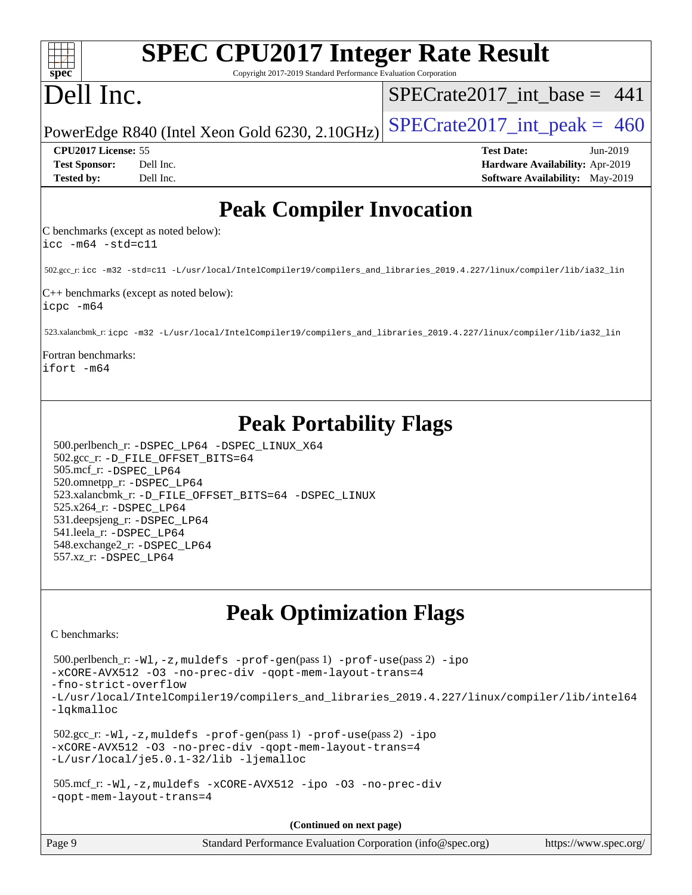| <b>SPEC CPU2017 Integer Rate Result</b><br>spec<br>Copyright 2017-2019 Standard Performance Evaluation Corporation                                                                                                                                                                                                                                                                  |                                                                                                     |
|-------------------------------------------------------------------------------------------------------------------------------------------------------------------------------------------------------------------------------------------------------------------------------------------------------------------------------------------------------------------------------------|-----------------------------------------------------------------------------------------------------|
| Dell Inc.                                                                                                                                                                                                                                                                                                                                                                           | $SPECrate2017$ int base = 441                                                                       |
| PowerEdge R840 (Intel Xeon Gold 6230, 2.10GHz)                                                                                                                                                                                                                                                                                                                                      | $SPECrate2017\_int\_peak = 460$                                                                     |
| CPU2017 License: 55<br>Dell Inc.<br><b>Test Sponsor:</b><br>Dell Inc.<br><b>Tested by:</b>                                                                                                                                                                                                                                                                                          | <b>Test Date:</b><br>Jun-2019<br>Hardware Availability: Apr-2019<br>Software Availability: May-2019 |
| <b>Peak Compiler Invocation</b>                                                                                                                                                                                                                                                                                                                                                     |                                                                                                     |
| C benchmarks (except as noted below):<br>$\text{icc}$ -m64 -std=c11                                                                                                                                                                                                                                                                                                                 |                                                                                                     |
| 502.gcc_r: icc -m32 -std=c11 -L/usr/local/IntelCompiler19/compilers_and_libraries_2019.4.227/linux/compiler/lib/ia32_lin                                                                                                                                                                                                                                                            |                                                                                                     |
| C++ benchmarks (except as noted below):<br>icpc -m64                                                                                                                                                                                                                                                                                                                                |                                                                                                     |
| 523.xalancbmk_r: icpc -m32 -L/usr/local/IntelCompiler19/compilers_and_libraries_2019.4.227/linux/compiler/lib/ia32_lin                                                                                                                                                                                                                                                              |                                                                                                     |
| Fortran benchmarks:<br>ifort -m64                                                                                                                                                                                                                                                                                                                                                   |                                                                                                     |
| <b>Peak Portability Flags</b><br>500.perlbench_r: -DSPEC_LP64 -DSPEC_LINUX_X64<br>502.gcc_r: -D_FILE_OFFSET_BITS=64<br>505.mcf_r: -DSPEC_LP64<br>520.omnetpp_r: -DSPEC_LP64<br>523.xalancbmk_r: -D_FILE_OFFSET_BITS=64 -DSPEC_LINUX<br>525.x264_r: -DSPEC_LP64<br>531.deepsjeng_r: -DSPEC_LP64<br>541.leela_r: -DSPEC_LP64<br>548.exchange2_r: -DSPEC_LP64<br>557.xz_r: -DSPEC_LP64 |                                                                                                     |
| <b>Peak Optimization Flags</b>                                                                                                                                                                                                                                                                                                                                                      |                                                                                                     |
| C benchmarks:<br>500.perlbench_r: -Wl, -z, muldefs -prof-gen(pass 1) -prof-use(pass 2) -ipo<br>-xCORE-AVX512 -03 -no-prec-div -qopt-mem-layout-trans=4<br>-fno-strict-overflow<br>-L/usr/local/IntelCompiler19/compilers_and_libraries_2019.4.227/linux/compiler/lib/intel64<br>-lqkmalloc                                                                                          |                                                                                                     |
| $502.\text{sec\_r: } -W1$ , $-z$ , muldefs $-prof-gen(pass 1)$ $-prof-use(pass 2)$ $-ipo$<br>-xCORE-AVX512 -03 -no-prec-div -qopt-mem-layout-trans=4<br>-L/usr/local/je5.0.1-32/lib -ljemalloc                                                                                                                                                                                      |                                                                                                     |
| 505.mcf_r:-Wl,-z,muldefs -xCORE-AVX512 -ipo -03 -no-prec-div<br>-gopt-mem-layout-trans=4                                                                                                                                                                                                                                                                                            |                                                                                                     |
| (Continued on next page)                                                                                                                                                                                                                                                                                                                                                            |                                                                                                     |
| Page 9<br>Standard Performance Evaluation Corporation (info@spec.org)                                                                                                                                                                                                                                                                                                               | https://www.spec.org/                                                                               |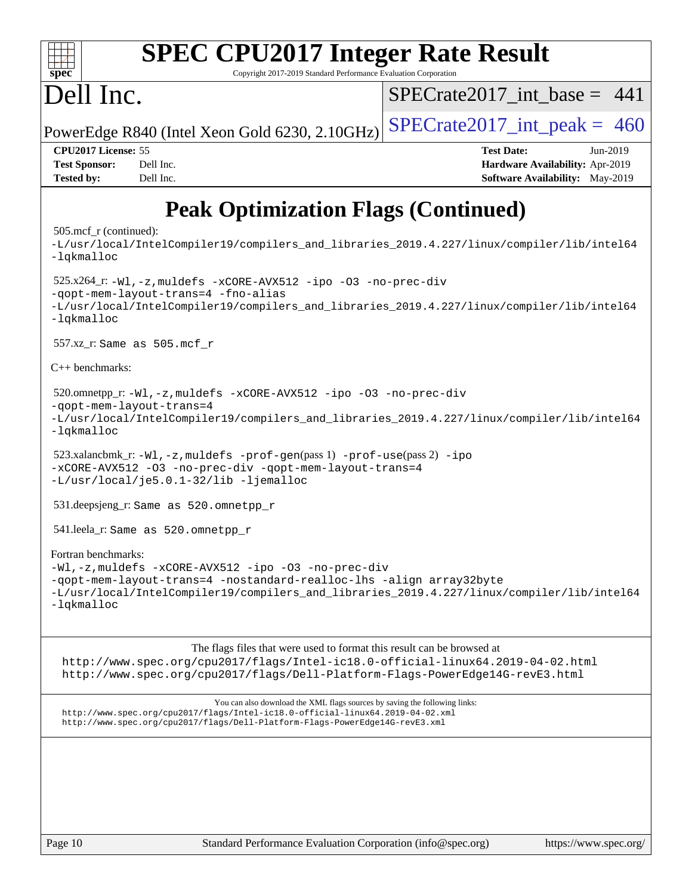| <b>SPEC CPU2017 Integer Rate Result</b><br>Copyright 2017-2019 Standard Performance Evaluation Corporation<br>$spec^*$                                                                                                                                        |                                                                                                     |  |  |  |  |  |  |
|---------------------------------------------------------------------------------------------------------------------------------------------------------------------------------------------------------------------------------------------------------------|-----------------------------------------------------------------------------------------------------|--|--|--|--|--|--|
| Dell Inc.                                                                                                                                                                                                                                                     | $SPECrate2017\_int\_base = 441$                                                                     |  |  |  |  |  |  |
| PowerEdge R840 (Intel Xeon Gold 6230, 2.10GHz)                                                                                                                                                                                                                | $SPECrate2017\_int\_peak = 460$                                                                     |  |  |  |  |  |  |
| CPU2017 License: 55<br>Dell Inc.<br><b>Test Sponsor:</b><br>Dell Inc.<br><b>Tested by:</b>                                                                                                                                                                    | <b>Test Date:</b><br>Jun-2019<br>Hardware Availability: Apr-2019<br>Software Availability: May-2019 |  |  |  |  |  |  |
| <b>Peak Optimization Flags (Continued)</b>                                                                                                                                                                                                                    |                                                                                                     |  |  |  |  |  |  |
| $505 \text{.mcf}_r$ (continued):<br>-L/usr/local/IntelCompiler19/compilers and libraries 2019.4.227/linux/compiler/lib/intel64<br>-lqkmalloc                                                                                                                  |                                                                                                     |  |  |  |  |  |  |
| $525.x264_r: -W1, -z$ , muldefs $-xCORE-AVX512 - ipo -03 -no-prec-div$<br>-qopt-mem-layout-trans=4 -fno-alias<br>-L/usr/local/IntelCompiler19/compilers_and_libraries_2019.4.227/linux/compiler/lib/intel64<br>-lqkmalloc                                     |                                                                                                     |  |  |  |  |  |  |
| 557.xz_r: Same as 505.mcf_r                                                                                                                                                                                                                                   |                                                                                                     |  |  |  |  |  |  |
| $C_{++}$ benchmarks:                                                                                                                                                                                                                                          |                                                                                                     |  |  |  |  |  |  |
| 520.omnetpp_r:-Wl,-z, muldefs -xCORE-AVX512 -ipo -03 -no-prec-div<br>-qopt-mem-layout-trans=4<br>-L/usr/local/IntelCompiler19/compilers_and_libraries_2019.4.227/linux/compiler/lib/intel64<br>-lqkmalloc                                                     |                                                                                                     |  |  |  |  |  |  |
| 523.xalancbmk_r:-Wl,-z,muldefs -prof-gen(pass 1) -prof-use(pass 2) -ipo<br>-xCORE-AVX512 -03 -no-prec-div -qopt-mem-layout-trans=4<br>-L/usr/local/je5.0.1-32/lib -ljemalloc                                                                                  |                                                                                                     |  |  |  |  |  |  |
| 531.deepsjeng_r: Same as 520.omnetpp_r                                                                                                                                                                                                                        |                                                                                                     |  |  |  |  |  |  |
| 541.leela_r: Same as 520.omnetpp_r                                                                                                                                                                                                                            |                                                                                                     |  |  |  |  |  |  |
| Fortran benchmarks:<br>-Wl,-z, muldefs -xCORE-AVX512 -ipo -03 -no-prec-div<br>-qopt-mem-layout-trans=4 -nostandard-realloc-lhs -align array32byte<br>-L/usr/local/IntelCompiler19/compilers_and_libraries_2019.4.227/linux/compiler/lib/intel64<br>-lqkmalloc |                                                                                                     |  |  |  |  |  |  |

The flags files that were used to format this result can be browsed at

<http://www.spec.org/cpu2017/flags/Intel-ic18.0-official-linux64.2019-04-02.html> <http://www.spec.org/cpu2017/flags/Dell-Platform-Flags-PowerEdge14G-revE3.html>

You can also download the XML flags sources by saving the following links: <http://www.spec.org/cpu2017/flags/Intel-ic18.0-official-linux64.2019-04-02.xml> <http://www.spec.org/cpu2017/flags/Dell-Platform-Flags-PowerEdge14G-revE3.xml>